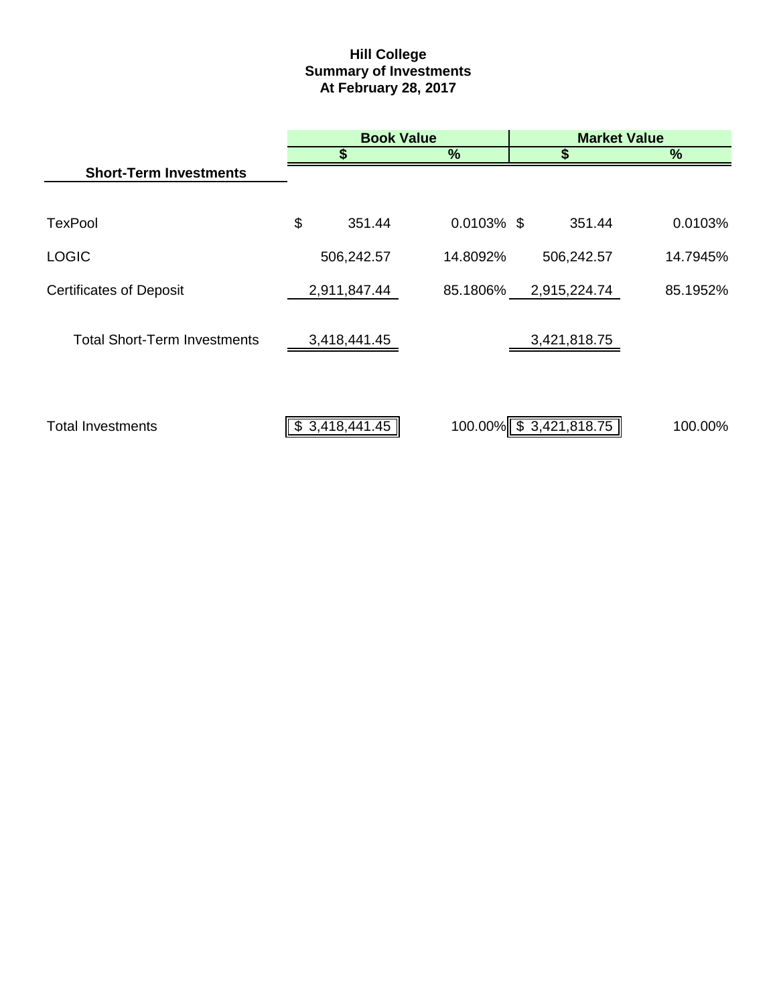# **Hill College Summary of Investments At February 28, 2017**

|                                     | <b>Book Value</b> |               | <b>Market Value</b>     |          |  |
|-------------------------------------|-------------------|---------------|-------------------------|----------|--|
|                                     | \$                | %             | S                       | $\%$     |  |
| <b>Short-Term Investments</b>       |                   |               |                         |          |  |
|                                     |                   |               |                         |          |  |
| <b>TexPool</b>                      | \$<br>351.44      | $0.0103\%$ \$ | 351.44                  | 0.0103%  |  |
| <b>LOGIC</b>                        | 506,242.57        | 14.8092%      | 506,242.57              | 14.7945% |  |
| <b>Certificates of Deposit</b>      | 2,911,847.44      | 85.1806%      | 2,915,224.74            | 85.1952% |  |
| <b>Total Short-Term Investments</b> | 3,418,441.45      |               | 3,421,818.75            |          |  |
|                                     |                   |               |                         |          |  |
| <b>Total Investments</b>            | \$3,418,441.45    |               | 100.00% \$ 3,421,818.75 | 100.00%  |  |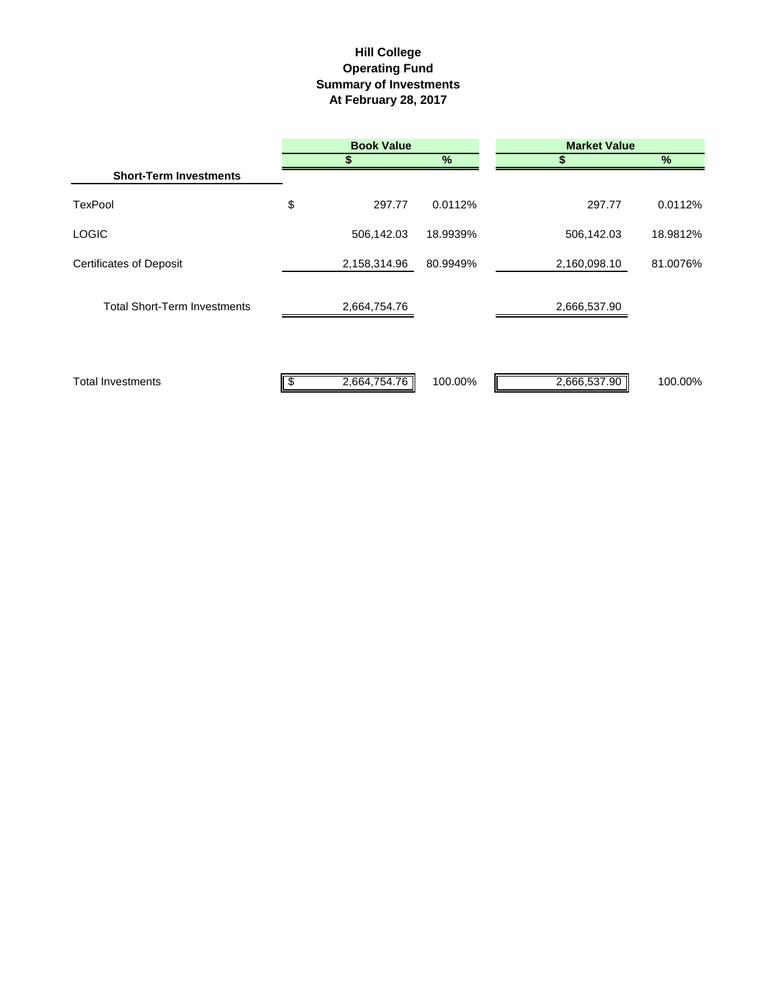## **Hill College Operating Fund Summary of Investments At February 28, 2017**

|                                     | <b>Book Value</b> |          | <b>Market Value</b> |          |  |
|-------------------------------------|-------------------|----------|---------------------|----------|--|
|                                     |                   | %        | S                   | $\%$     |  |
| <b>Short-Term Investments</b>       |                   |          |                     |          |  |
| <b>TexPool</b>                      | \$<br>297.77      | 0.0112%  | 297.77              | 0.0112%  |  |
| <b>LOGIC</b>                        | 506,142.03        | 18.9939% | 506,142.03          | 18.9812% |  |
| <b>Certificates of Deposit</b>      | 2,158,314.96      | 80.9949% | 2,160,098.10        | 81.0076% |  |
| <b>Total Short-Term Investments</b> | 2,664,754.76      |          | 2,666,537.90        |          |  |
| <b>Total Investments</b>            | 2,664,754.76      | 100.00%  | 2,666,537.90        | 100.00%  |  |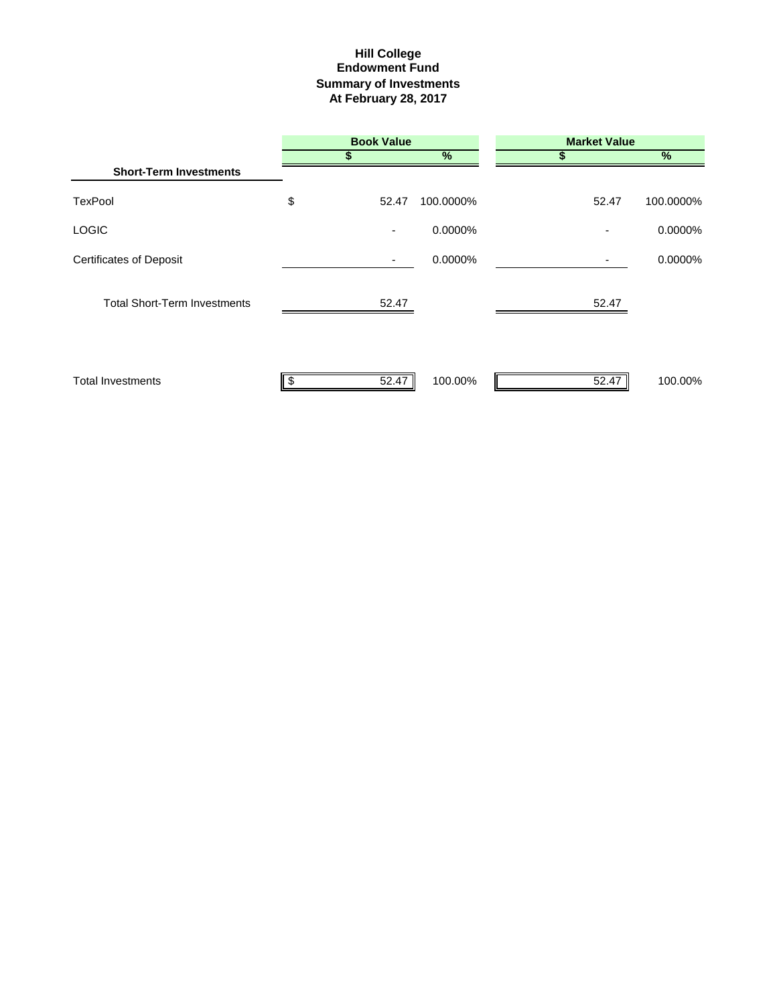## **Summary of Investments At February 28, 2017 Hill College Endowment Fund**

|                                     | <b>Book Value</b>        |           | <b>Market Value</b> |               |  |
|-------------------------------------|--------------------------|-----------|---------------------|---------------|--|
|                                     |                          | %         |                     | $\frac{1}{2}$ |  |
| <b>Short-Term Investments</b>       |                          |           |                     |               |  |
| <b>TexPool</b>                      | \$<br>52.47              | 100.0000% | 52.47               | 100.0000%     |  |
| <b>LOGIC</b>                        | $\overline{\phantom{a}}$ | 0.0000%   |                     | 0.0000%       |  |
| <b>Certificates of Deposit</b>      |                          | 0.0000%   |                     | 0.0000%       |  |
| <b>Total Short-Term Investments</b> | 52.47                    |           | 52.47               |               |  |
| <b>Total Investments</b>            | 52.47                    | 100.00%   | 52.47               | 100.00%       |  |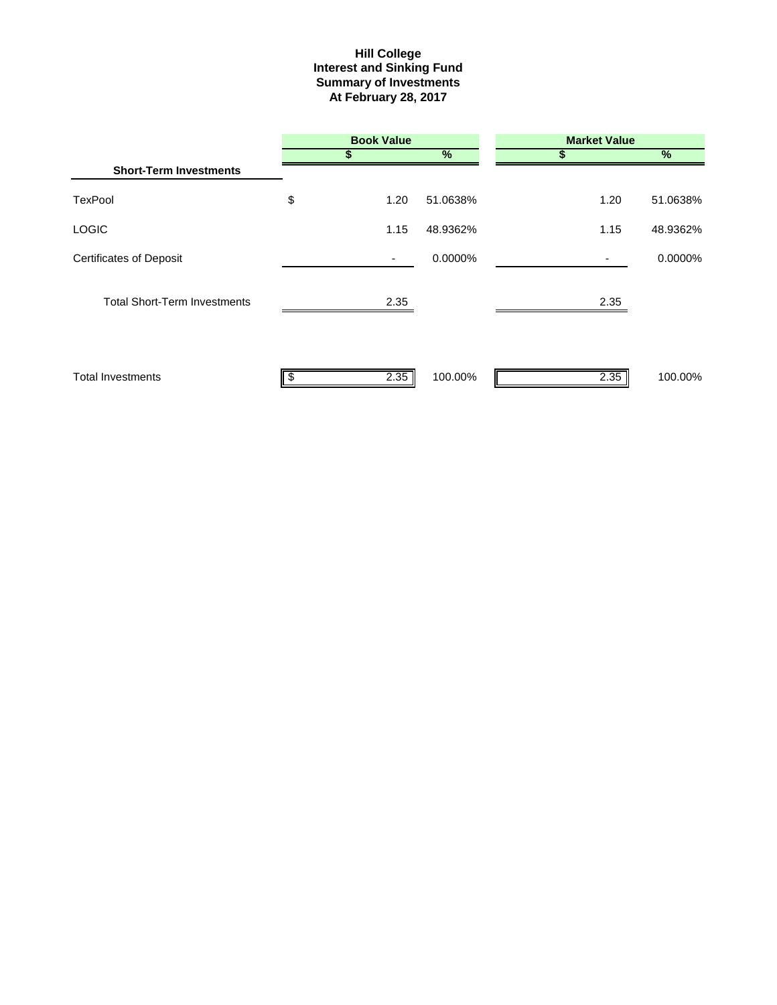#### **Interest and Sinking Fund Summary of Investments At February 28, 2017 Hill College**

|                                     | <b>Book Value</b> |               | <b>Market Value</b> |          |  |
|-------------------------------------|-------------------|---------------|---------------------|----------|--|
|                                     |                   | $\frac{9}{6}$ | S                   | %        |  |
| <b>Short-Term Investments</b>       |                   |               |                     |          |  |
| <b>TexPool</b>                      | \$<br>1.20        | 51.0638%      | 1.20                | 51.0638% |  |
| <b>LOGIC</b>                        | 1.15              | 48.9362%      | 1.15                | 48.9362% |  |
| <b>Certificates of Deposit</b>      | ٠                 | 0.0000%       |                     | 0.0000%  |  |
| <b>Total Short-Term Investments</b> | 2.35              |               | 2.35                |          |  |
| <b>Total Investments</b>            | 2.35              | 100.00%       | 2.35                | 100.00%  |  |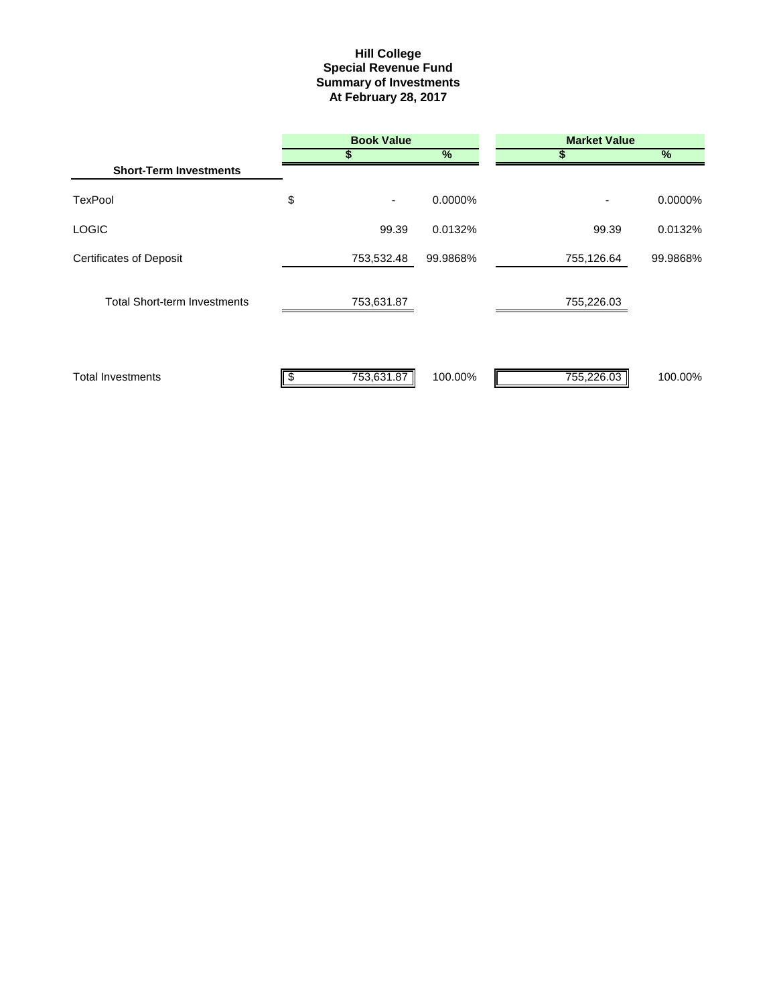#### **Summary of Investments At February 28, 2017 Special Revenue Fund Hill College**

|                                     | <b>Book Value</b> |          | <b>Market Value</b> |               |  |
|-------------------------------------|-------------------|----------|---------------------|---------------|--|
|                                     |                   | %        | S                   | $\frac{1}{2}$ |  |
| <b>Short-Term Investments</b>       |                   |          |                     |               |  |
| <b>TexPool</b>                      | \$<br>٠           | 0.0000%  |                     | 0.0000%       |  |
| <b>LOGIC</b>                        | 99.39             | 0.0132%  | 99.39               | 0.0132%       |  |
| <b>Certificates of Deposit</b>      | 753,532.48        | 99.9868% | 755,126.64          | 99.9868%      |  |
| <b>Total Short-term Investments</b> | 753,631.87        |          | 755,226.03          |               |  |
| <b>Total Investments</b>            | 753,631.87<br>Ъ   | 100.00%  | 755,226.03          | 100.00%       |  |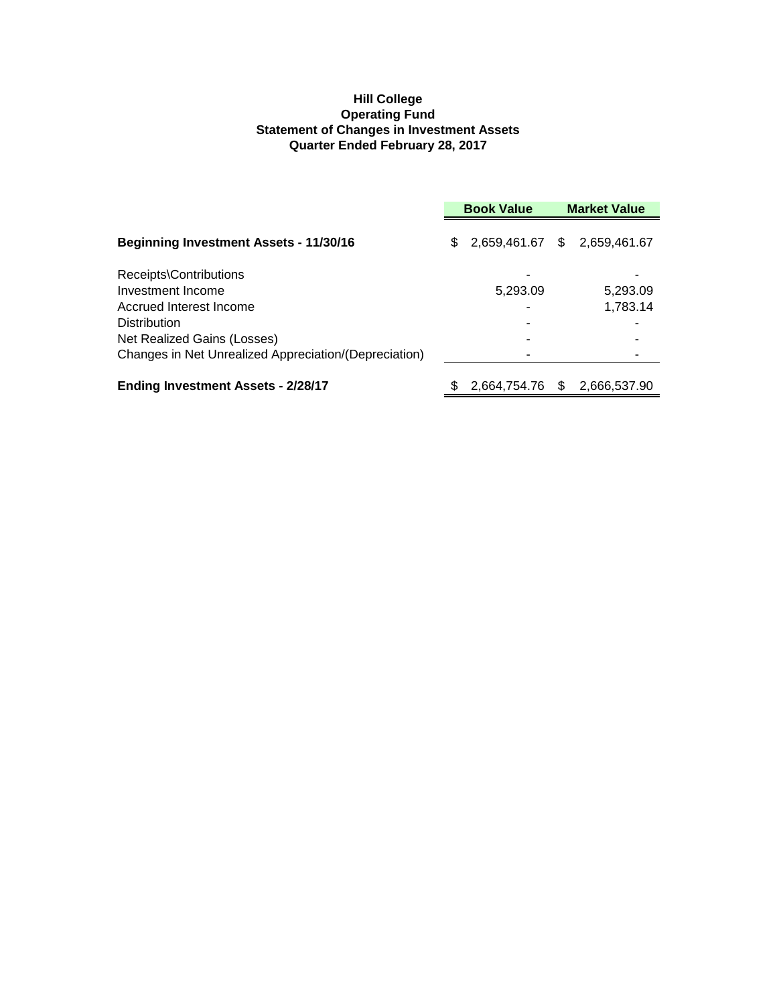## **Hill College Operating Fund Statement of Changes in Investment Assets Quarter Ended February 28, 2017**

|                                                       | <b>Book Value</b> |                              |     | <b>Market Value</b> |
|-------------------------------------------------------|-------------------|------------------------------|-----|---------------------|
| <b>Beginning Investment Assets - 11/30/16</b>         | \$.               | 2,659,461.67 \$ 2,659,461.67 |     |                     |
| Receipts\Contributions                                |                   |                              |     |                     |
| Investment Income                                     |                   | 5,293.09                     |     | 5,293.09            |
| Accrued Interest Income                               |                   | ٠                            |     | 1,783.14            |
| <b>Distribution</b>                                   |                   |                              |     |                     |
| Net Realized Gains (Losses)                           |                   |                              |     |                     |
| Changes in Net Unrealized Appreciation/(Depreciation) |                   |                              |     |                     |
| <b>Ending Investment Assets - 2/28/17</b>             |                   | 2,664,754.76                 | \$. | 2,666,537.90        |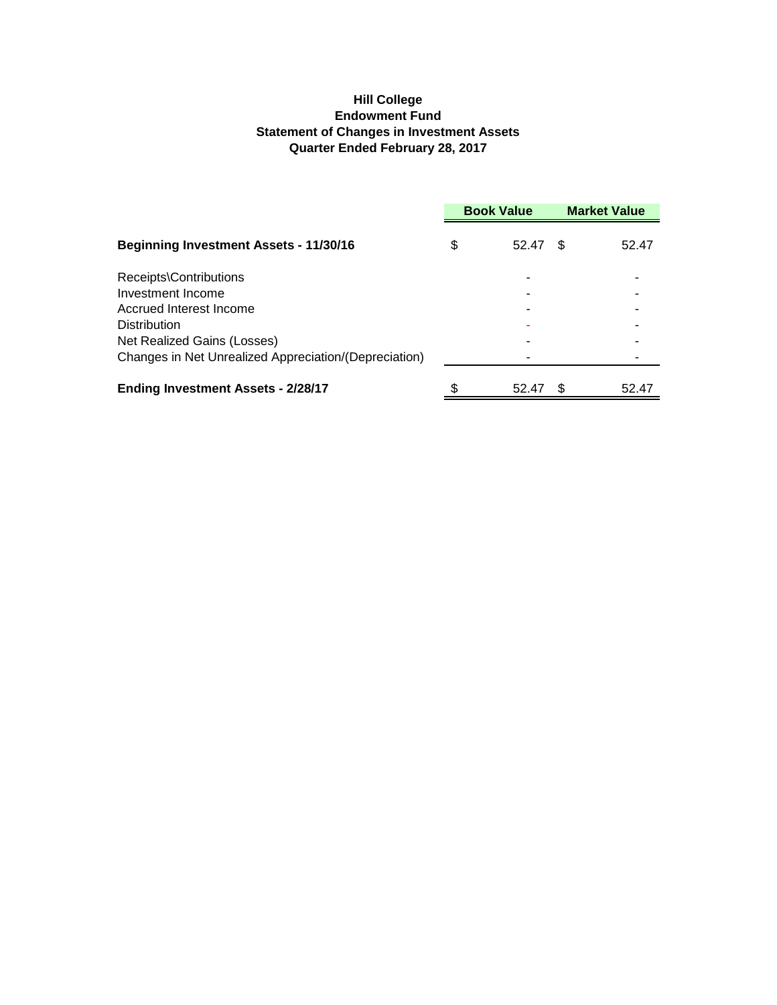## **Hill College Endowment Fund Statement of Changes in Investment Assets Quarter Ended February 28, 2017**

|                                                       | <b>Book Value</b> |       | <b>Market Value</b> |       |
|-------------------------------------------------------|-------------------|-------|---------------------|-------|
| <b>Beginning Investment Assets - 11/30/16</b>         | \$                | 52.47 | \$.                 | 52.47 |
| Receipts\Contributions                                |                   |       |                     |       |
| Investment Income                                     |                   |       |                     |       |
| Accrued Interest Income                               |                   |       |                     |       |
| <b>Distribution</b>                                   |                   |       |                     |       |
| Net Realized Gains (Losses)                           |                   |       |                     |       |
| Changes in Net Unrealized Appreciation/(Depreciation) |                   |       |                     |       |
| <b>Ending Investment Assets - 2/28/17</b>             | \$                | 52.47 |                     | 52.47 |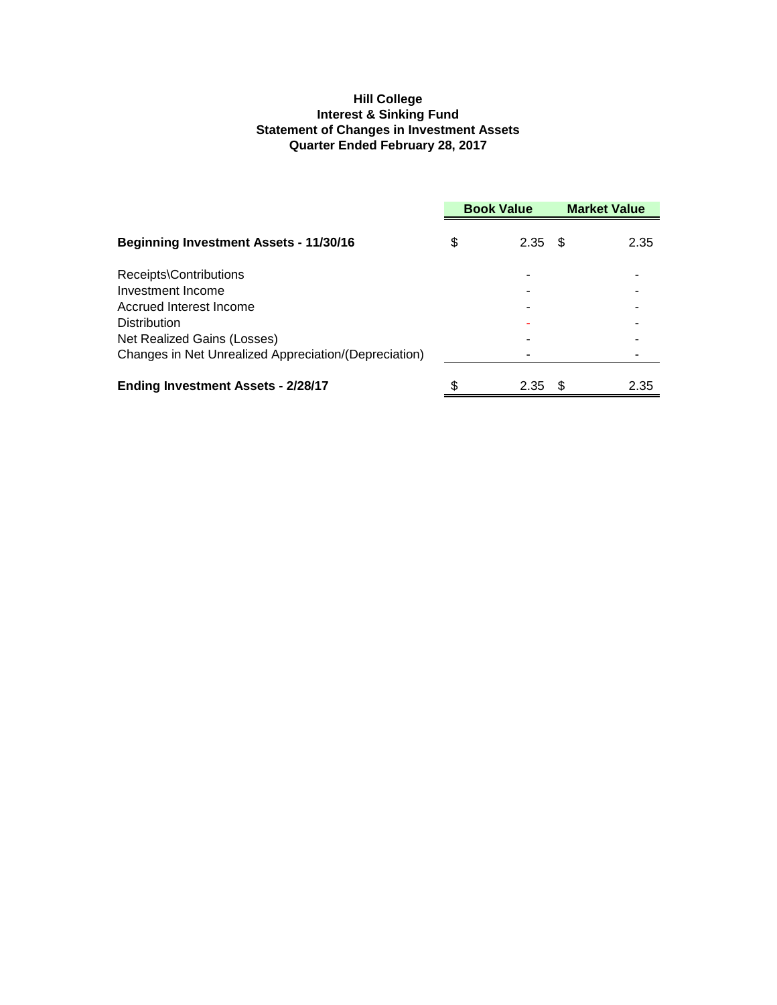## **Hill College Interest & Sinking Fund Statement of Changes in Investment Assets Quarter Ended February 28, 2017**

|                                                       | <b>Book Value</b> |      | <b>Market Value</b> |      |
|-------------------------------------------------------|-------------------|------|---------------------|------|
| <b>Beginning Investment Assets - 11/30/16</b>         | \$                | 2.35 | - \$                | 2.35 |
| Receipts\Contributions                                |                   |      |                     |      |
| Investment Income                                     |                   |      |                     |      |
| Accrued Interest Income                               |                   |      |                     |      |
| <b>Distribution</b>                                   |                   |      |                     |      |
| Net Realized Gains (Losses)                           |                   |      |                     |      |
| Changes in Net Unrealized Appreciation/(Depreciation) |                   |      |                     |      |
| <b>Ending Investment Assets - 2/28/17</b>             | \$                | 2.35 | Ж,                  | 2.35 |